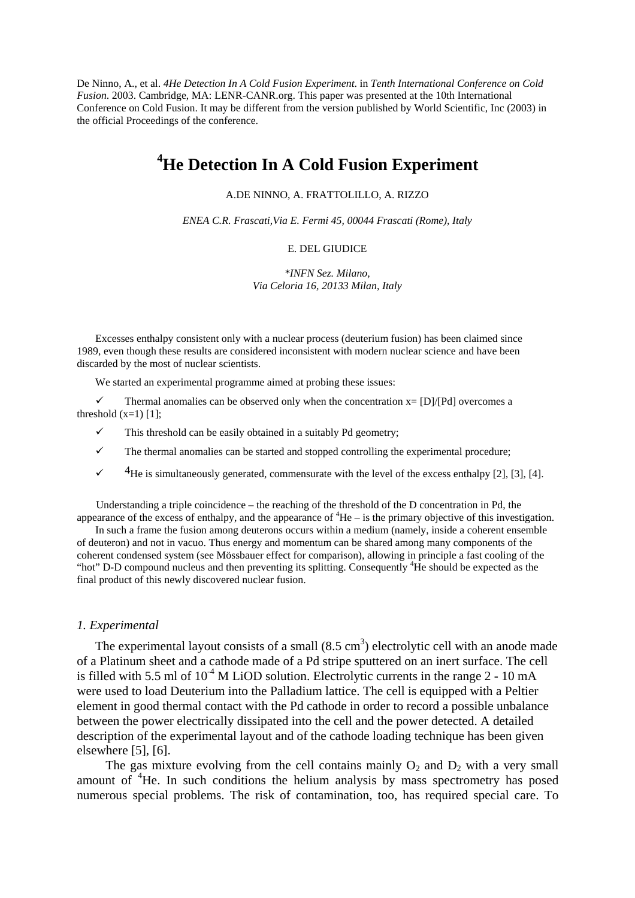De Ninno, A., et al. *4He Detection In A Cold Fusion Experiment*. in *Tenth International Conference on Cold Fusion*. 2003. Cambridge, MA: LENR-CANR.org. This paper was presented at the 10th International Conference on Cold Fusion. It may be different from the version published by World Scientific, Inc (2003) in the official Proceedings of the conference.

# **4 He Detection In A Cold Fusion Experiment**

A.DE NINNO, A. FRATTOLILLO, A. RIZZO

*ENEA C.R. Frascati,Via E. Fermi 45, 00044 Frascati (Rome), Italy* 

#### E. DEL GIUDICE

*\*INFN Sez. Milano, Via Celoria 16, 20133 Milan, Italy* 

Excesses enthalpy consistent only with a nuclear process (deuterium fusion) has been claimed since 1989, even though these results are considered inconsistent with modern nuclear science and have been discarded by the most of nuclear scientists.

We started an experimental programme aimed at probing these issues:

 $\checkmark$  Thermal anomalies can be observed only when the concentration  $x=[D]/[Pd]$  overcomes a threshold  $(x=1)$  [1];

 $\checkmark$  This threshold can be easily obtained in a suitably Pd geometry;

 $\checkmark$  The thermal anomalies can be started and stopped controlling the experimental procedure;

 $\checkmark$  4He is simultaneously generated, commensurate with the level of the excess enthalpy [2], [3], [4].

Understanding a triple coincidence – the reaching of the threshold of the D concentration in Pd, the appearance of the excess of enthalpy, and the appearance of  ${}^{4}$ He – is the primary objective of this investigation.

In such a frame the fusion among deuterons occurs within a medium (namely, inside a coherent ensemble of deuteron) and not in vacuo. Thus energy and momentum can be shared among many components of the coherent condensed system (see Mössbauer effect for comparison), allowing in principle a fast cooling of the "hot" D-D compound nucleus and then preventing its splitting. Consequently <sup>4</sup>He should be expected as the final product of this newly discovered nuclear fusion.

#### *1. Experimental*

The experimental layout consists of a small  $(8.5 \text{ cm}^3)$  electrolytic cell with an anode made of a Platinum sheet and a cathode made of a Pd stripe sputtered on an inert surface. The cell is filled with 5.5 ml of  $10^{-4}$  M LiOD solution. Electrolytic currents in the range 2 - 10 mA were used to load Deuterium into the Palladium lattice. The cell is equipped with a Peltier element in good thermal contact with the Pd cathode in order to record a possible unbalance between the power electrically dissipated into the cell and the power detected. A detailed description of the experimental layout and of the cathode loading technique has been given elsewhere [5], [6].

The gas mixture evolving from the cell contains mainly  $O_2$  and  $D_2$  with a very small amount of <sup>4</sup>He. In such conditions the helium analysis by mass spectrometry has posed numerous special problems. The risk of contamination, too, has required special care. To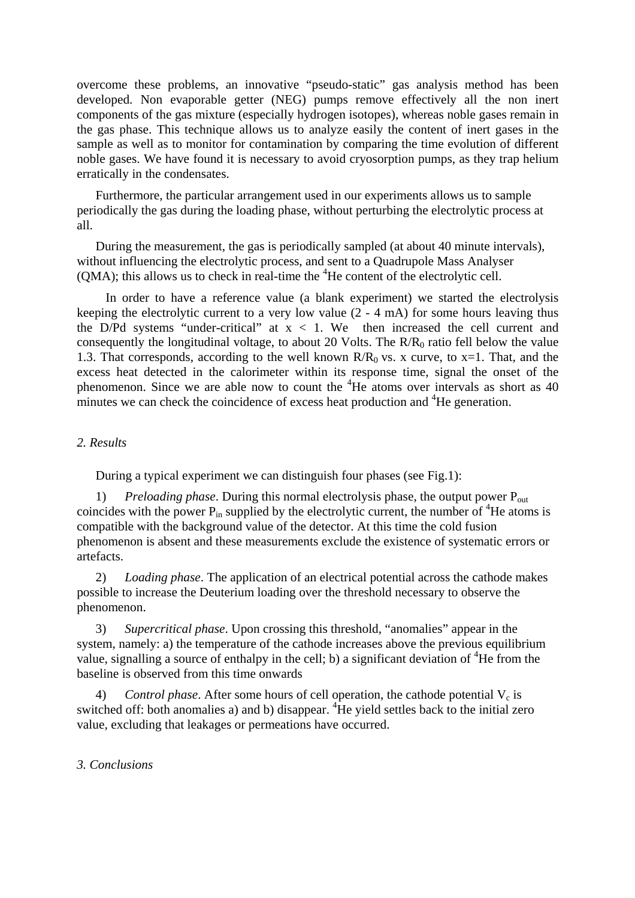overcome these problems, an innovative "pseudo-static" gas analysis method has been developed. Non evaporable getter (NEG) pumps remove effectively all the non inert components of the gas mixture (especially hydrogen isotopes), whereas noble gases remain in the gas phase. This technique allows us to analyze easily the content of inert gases in the sample as well as to monitor for contamination by comparing the time evolution of different noble gases. We have found it is necessary to avoid cryosorption pumps, as they trap helium erratically in the condensates.

Furthermore, the particular arrangement used in our experiments allows us to sample periodically the gas during the loading phase, without perturbing the electrolytic process at all.

During the measurement, the gas is periodically sampled (at about 40 minute intervals), without influencing the electrolytic process, and sent to a Quadrupole Mass Analyser  $(QMA)$ ; this allows us to check in real-time the  ${}^{4}$ He content of the electrolytic cell.

In order to have a reference value (a blank experiment) we started the electrolysis keeping the electrolytic current to a very low value (2 - 4 mA) for some hours leaving thus the D/Pd systems "under-critical" at  $x < 1$ . We then increased the cell current and consequently the longitudinal voltage, to about 20 Volts. The  $R/R_0$  ratio fell below the value 1.3. That corresponds, according to the well known  $R/R_0$  vs. x curve, to x=1. That, and the excess heat detected in the calorimeter within its response time, signal the onset of the phenomenon. Since we are able now to count the  ${}^{4}$ He atoms over intervals as short as 40 minutes we can check the coincidence of excess heat production and <sup>4</sup>He generation.

### *2. Results*

During a typical experiment we can distinguish four phases (see Fig.1):

*Preloading phase.* During this normal electrolysis phase, the output power P<sub>out</sub> coincides with the power  $P_{in}$  supplied by the electrolytic current, the number of  ${}^{4}$ He atoms is compatible with the background value of the detector. At this time the cold fusion phenomenon is absent and these measurements exclude the existence of systematic errors or artefacts.

2) *Loading phase*. The application of an electrical potential across the cathode makes possible to increase the Deuterium loading over the threshold necessary to observe the phenomenon.

3) *Supercritical phase*. Upon crossing this threshold, "anomalies" appear in the system, namely: a) the temperature of the cathode increases above the previous equilibrium value, signalling a source of enthalpy in the cell; b) a significant deviation of  ${}^{4}$ He from the baseline is observed from this time onwards

4) *Control phase.* After some hours of cell operation, the cathode potential  $V_c$  is switched off: both anomalies a) and b) disappear.  ${}^{4}$ He yield settles back to the initial zero value, excluding that leakages or permeations have occurred.

## *3. Conclusions*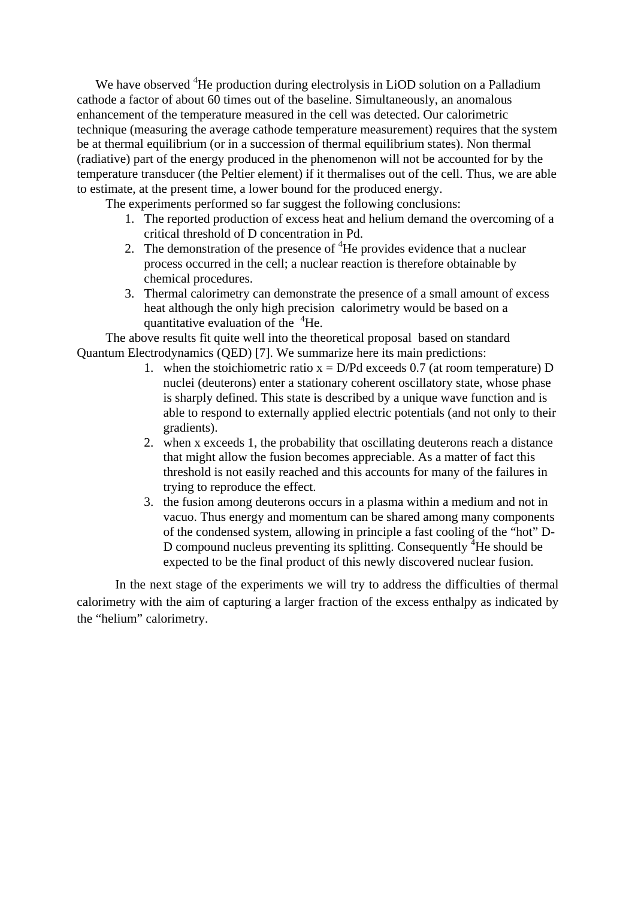We have observed <sup>4</sup>He production during electrolysis in LiOD solution on a Palladium cathode a factor of about 60 times out of the baseline. Simultaneously, an anomalous enhancement of the temperature measured in the cell was detected. Our calorimetric technique (measuring the average cathode temperature measurement) requires that the system be at thermal equilibrium (or in a succession of thermal equilibrium states). Non thermal (radiative) part of the energy produced in the phenomenon will not be accounted for by the temperature transducer (the Peltier element) if it thermalises out of the cell. Thus, we are able to estimate, at the present time, a lower bound for the produced energy.

The experiments performed so far suggest the following conclusions:

- 1. The reported production of excess heat and helium demand the overcoming of a critical threshold of D concentration in Pd.
- 2. The demonstration of the presence of  ${}^{4}$ He provides evidence that a nuclear process occurred in the cell; a nuclear reaction is therefore obtainable by chemical procedures.
- 3. Thermal calorimetry can demonstrate the presence of a small amount of excess heat although the only high precision calorimetry would be based on a quantitative evaluation of the  $4$ He.

The above results fit quite well into the theoretical proposal based on standard Quantum Electrodynamics (QED) [7]. We summarize here its main predictions:

- 1. when the stoichiometric ratio  $x = D/Pd$  exceeds 0.7 (at room temperature) D nuclei (deuterons) enter a stationary coherent oscillatory state, whose phase is sharply defined. This state is described by a unique wave function and is able to respond to externally applied electric potentials (and not only to their gradients).
- 2. when x exceeds 1, the probability that oscillating deuterons reach a distance that might allow the fusion becomes appreciable. As a matter of fact this threshold is not easily reached and this accounts for many of the failures in trying to reproduce the effect.
- 3. the fusion among deuterons occurs in a plasma within a medium and not in vacuo. Thus energy and momentum can be shared among many components of the condensed system, allowing in principle a fast cooling of the "hot" D-D compound nucleus preventing its splitting. Consequently  $4$ He should be expected to be the final product of this newly discovered nuclear fusion.

In the next stage of the experiments we will try to address the difficulties of thermal calorimetry with the aim of capturing a larger fraction of the excess enthalpy as indicated by the "helium" calorimetry.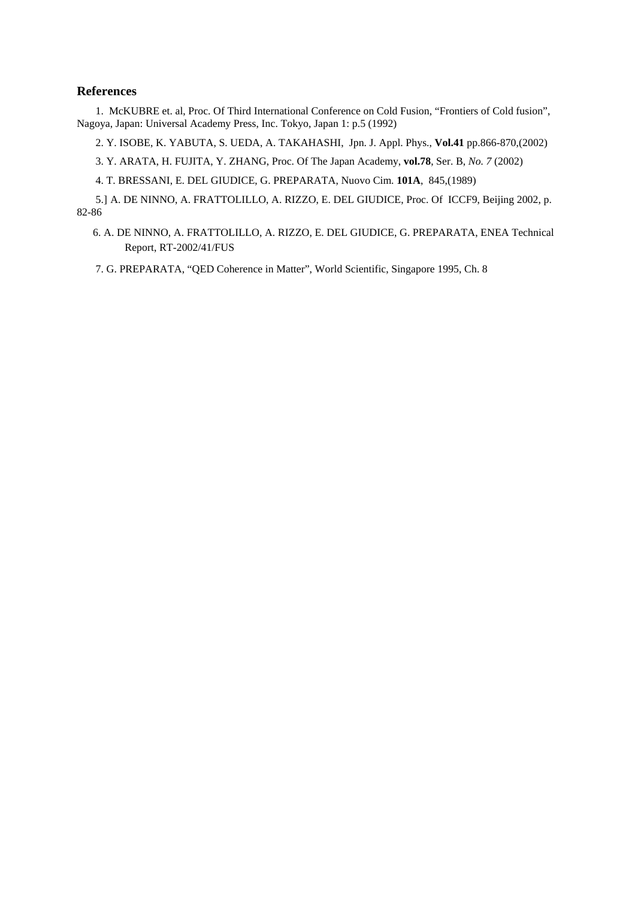#### **References**

1. McKUBRE et. al, Proc. Of Third International Conference on Cold Fusion, "Frontiers of Cold fusion", Nagoya, Japan: Universal Academy Press, Inc. Tokyo, Japan 1: p.5 (1992)

2. Y. ISOBE, K. YABUTA, S. UEDA, A. TAKAHASHI, Jpn. J. Appl. Phys., **Vol.41** pp.866-870,(2002)

3. Y. ARATA, H. FUJITA, Y. ZHANG, Proc. Of The Japan Academy, **vol.78**, Ser. B, *No. 7* (2002)

4. T. BRESSANI, E. DEL GIUDICE, G. PREPARATA, Nuovo Cim. **101A**, 845,(1989)

5.] A. DE NINNO, A. FRATTOLILLO, A. RIZZO, E. DEL GIUDICE, Proc. Of ICCF9, Beijing 2002, p. 82-86

 6. A. DE NINNO, A. FRATTOLILLO, A. RIZZO, E. DEL GIUDICE, G. PREPARATA, ENEA Technical Report, RT-2002/41/FUS

7. G. PREPARATA, "QED Coherence in Matter", World Scientific, Singapore 1995, Ch. 8